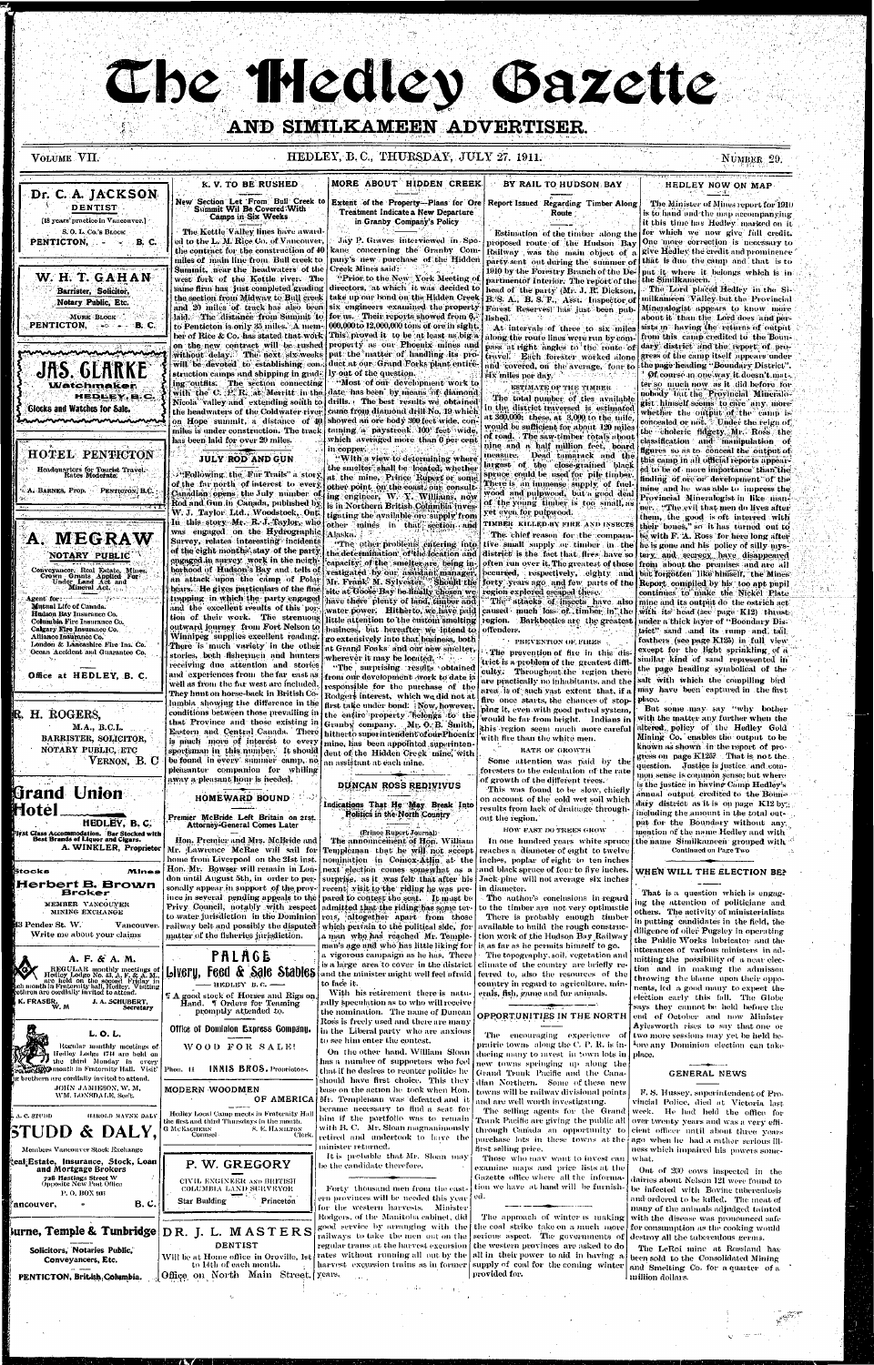# The Hedley Gazette AND SIMILKAMEEN ADVERTISER.

VOLUME VII.

Dr. C. A. JACKSON

**DENTIST** 

[18 years' practice in Vancouver.]

S.O.L.Co.'s BLOCK

PENTICTON, **PENTICTON**, **PENTICTON**,

W. H. T. GAHAN

Barrister, Solicitor,

Notary Public, Etc.

JAS. GLARK

Glocks and Watches for Sale.

**Watchmaker** 

**HOTEL PENTICTON** 

Headquarters for Tourist Travel.<br>Rates Moderate:

A. BARNES, Prop. PENTICTON, B.C.

A. MEGRAW

NOTARY PUBLIC

Conveyancer, Real Estate, Mines.<br>Crown Grunts Applied Form.<br>Under Land Act and Mineral Act.

London & Lancashire Fire Ins. Co.

Ocean Accident and Guarantee Co.

Office at HEDLEY, B. C.

**Mutual Life of Canada.** 

**Alliance Insurance Co.** 

Hudson Bay Insurance Co.

Calgary Fire Insurance Co.

Columbia Fire Insurance Co.

Agent for:

HEDLEY, B.C.

**PENTICTON,** 

MURK BLOCK

#### HEDLEY, B.C., THURSDAY, JULY 27, 1911.

NUMBER 29.

### K.V. TO BE RUSHED. New Section Let From Bull Creek to

Summit Wil Be Covered With Camps in Six Weeks

The Kettle Valley lines have awarded to the L. M. Rice Co. of Vancouver. the contract for the construction of 40 miles of main line from. Bull creek to Summit, near the headwaters of the west fork of the Kettle river. The same firm has just completed grading the section from Midway to Bull creek struction camps and shipping in grading outfits. The section connecting the headwaters of the Coldwater river has been laid for over 20 miles.

## **JULY ROD AND GUN**

**Following the Fur Trails**" a story of the far north of interest to every Canadian opens the July number of Rod and Gun in Canada, published by W. J. Taylor Ltd., Woodstock, Ont. In this story Mr. R. J. Taylor, who was engaged on the Hydrographic Survey, relates interesting incidents of the eight months stay of the party engaged in survey work in the neighborhood of Hudson's Bay and tells of an attack upon the camp of Polar bears. He gives particulars of the fine trapping in which the party engaged and the excellent results of this por tion of their work. The stremuous outward journey from Fort Nelson to Winnipeg supplies excellent reading. There is much variety in the other stories, both fishermen and hunters receiving due attention and stories and experiences from the far east as well as from the far west are included. They hunt on horse-back in British Columbia showing the difference in the

#### MORE ABOUT HIDDEN CREEK

Extent of the Property--Plans for Ore Report Issued Regarding Timber Along Treatment Indicate a New Departure in Granby Company's Policy

Jay P. Graves interviewed in Spokane concerning the Granby Company's new purchase of the Hidden **Creek Mines said:** 

"Prior to the New York Meeting of directors, "at which it was decided to take up our bond on the Hidden Creek | B. S. A., B. S. F., Asst. Inspector of and 20 miles of track has also been six engineers examined the property haid. The distance from Summit to for us. Their reports showed from 6. to Penticton is only 35 miles. A mem- 000,000 to 12,000,000 tons of ore in sight. ber of Rice & Co. has stated that work. This proved it to be at least as big a on the new contract will be rushed property as our Phoenix mines and without delay. The next six weeks put the natter of handling its prowill be devoted to establishing con- duct at our Grand Forks plant entirely out of the question. "Most of our development work to

with the C. P. R. at Merritt in the date has been by means of diamond. Nicola valley and extending south to drills. The best results we obtained came from diamond drill No. 19 which on Hope summit, a distance of 40 showed an ore body 300 feet wide, conmiles is under construction. The track-tuming a paystreak 100 feet wide, which averaged more than 6 per cent in copper.

"With a view to determining where the smelter shall be located, whether at the mine, Prince Rupert or some other point on the coast, our consulting engineer. W. Y. Williams, now is in Northern British Columbia investigating the available ore supply from other mines in that section and Alaska. †

"The other problems entering into the determination of the location and capacity of the smelter are being investigated by our assistant manager. site at Goose Bay be finally chosen we region explored escaped these. have there plenty of land, timber and business, but hereafter we intend to go extensively into that business, both at Grand Foaks' and our new smelter, wherever it may be located.

"The surprising results obtained from our development work to date is responsible for the purchase of the Rodgers interest, which we did not at

## BY RAIL TO HUDSON BAY

## Route

proposed route of the Hudson  $B_{\rm av}|$  One more correction is necessary to Railway was the main object of a party sent out during the summer of that is due the camp and that is to  $1910$  by the Forestry Branch of the De-  $\mid$ partmentof Interior. The report of the the Similkameen. head of the party (Mr. J. R. Dickson, Forest Reserves) has just been published.

At intervals of three to six miles along the route lines were run by compass at right angles to the route of travel. Each forester worked alone and covered, on the average, four to ix miles per day.

ESTIMATE OF THE TIMBER

The total number of ties available in the district traversed is estimated at 360,000; these, at 3,000 to the mile. would be sufficient for about 120 miles of road. The saw-timber rotals about nine and a half million feet, board measure. Dead tamarack and the largest of the close-grained black spruce could be used for pile timber. There is, an immense supply of fuelwood and pulpwood, but a good deal of the young timber is too small, as yet even for pulpwood.

TIMBER KILLED BY FIRE AND INSECTS

The chief reason for the comparative small supply or timber in the he is gone and his policy of silly mysdistrict is the fact that fires have so tery and secrecy have disappeared often run over it. The greatest of these from about the premises and are all pecuried, respectively, eighty and Mr. Frank M. Sylvester. Should the forty years ago and few parts of the Report compiled by his too apt pupil

"The attacks of insects have also water power. Hitherto, we have paid | caused much loss of timber in the little attention to the custom smelting region. Barkbeetles are the greatest offenders,

#### $\cdot$  PREVENTION OF FIRES

The prevention of fire in this district is a problem of the greatest diffl culty. Throughout the region there are practically no inhabitants, and the salt with which the compiling bird area is of such yast extent that, if a may have been captured in the first fire once starts, the chances of stop- place. first take under bond: Now, however, him it, even with good patrol system,

## HEDLEY NOW ON MAP

The Minister of Mines report for 1910 is to hand and the map accompanying it this time has Hedley marked on it Estimation of the timber along the for which we now give full credit. give Hedley the credit and prominence nut it where it belongs which is in

> The Lord placed Hedley in the Similkameen Valley but the Provincial Mineralogist appears to know more about it than the Lord does and persists in having the returns of output from this camp credited to the Boundary district and the report of progress of the camp itself appears under the page heading "Boundary District". Of course in one way it doesn't mate. ter so much now as it did before for nobody but the Provincial Mineralogist himself seems to care any more whether the output of the camp is concealed or not. Under the reign of the choleric fidgety Mr. Ross the classification and manipulation of figures so as to conceal the output of this camp in all official reports appeared to be of more importance than the finding of ore or development of the mine and he was able to impress the Provincial Mineralogist in like namner. "The evil that men do lives after them, the good is oft interred with their bones." so it has turned out to be with F. A. Ross for here long after but forgotten like himself, the Mines continues to make the Nickel Plate mine and its output do the ostrich act with its head (see page K12) thrust. under a thick laver of "Boondary District" sand and its rump and tail feathers (see page K125) in full view except for the light sprinkling of a similar kind of sand represented in the page heading symbolical of the

But some may say "why bother



and Mortgage Brokers

728 Hastings Street W<br>Opposite New Post Office

P.O. BOX 906

Solicitors, Notaries Public,

Conveyancers, Etc.

PENTICTON, British Columbia.

'ancouver,

 $B.C.$ 



ince in several pending appeals to the pared to contest the seat. It mast be Privy Council, notably with respect to water jurisdiction in the Dominion rois, altogether apart from those railway belt and possibly the disputed matter of the fisheries jurisdiction.

## **PALAGE** HEDLEY B.C. -

T A good stock of Horses and Rigs on Hand. I Orders for Teaming promptly attended to.

#### Office of Dominion Express Gompany.

WOOD FOR SALE!

Phon. 11 INNIS BROS. Proprietors.

#### MODERN WOODMEN OF AMERICA

Hedley Local Camp meets in Fraternity Hall the first and third Thursdays in the month. S. E. HAMILTON Clerk

P. W. GREGORY CIVIL ENGINEER AND BRITISH COLUMBIA LAND SURVEYOR Star Building Princeton

 $\left[\frac{1}{2}$  arms arms are  $\left[\frac{1}{2} \ln \frac{1}{2} \ln \frac{1}{2} \ln \frac{1}{2} \ln \frac{1}{2} \ln \frac{1}{2} \ln \frac{1}{2} \ln \frac{1}{2} \ln \frac{1}{2} \ln \frac{1}{2} \ln \frac{1}{2} \ln \frac{1}{2} \ln \frac{1}{2} \ln \frac{1}{2} \ln \frac{1}{2} \ln \frac{1}{2} \ln \frac{1}{2} \ln \frac{1}{2} \ln \frac{1}{2} \ln \frac{1}{2} \ln \frac{1}{2} \ln \frac{$ **DENTIST** to 14th of each month. Office on North Main Street. years.

the entire property belongs to the Granby company. Mr. O. B. Smith, hitherto superintendent of our Phoenix mine, has been appointed superintendent of the Hidden Creek mine, with an assistant at each mine.

#### DUNCAN ROSS REDIVIVUS

#### Indications That He May Break Into **Politics in the North Country**

(Prince Rupert Journal)

The announcement of Hon. William Templeman that he will not accept nomination in Comox-Atlin at the next election comes somewhat as a surprise, as it was felt that after his recent visit to the riding he was preadmitted that the riding has some terwhich pertain to the political side, for a man who has reached Mr. Templeman's age and who has little liking for a vigorous campaign as he has. There is a large area to cover in the district Livery, Feed & Sale Stables and the minister might well feel aftaid to face it.

> With his retirement there is naturally speculation as to who will receive the nomination. The name of Duncan Ross is freely used and there are many in the Liberal party who are anxious to see him enter the contest.

On the other hand, William Sloan has a number of supporters who feel that if he desires to reenter politics he should have first choice. This they base on the action he took when Hon. Mr. Templeman was defeated and it became necessary to find a seat for him if the portfolio was to remain with  $\mathbf{B},\,\mathbf{C},\,\,\mathbf{Mr},\,\mathbf{S}$ loan magnanimously retired and undertook to have the minister returned.

It is probable that Mr. Sloan may be the candidate therefore.

Forty thousand men from the eastern provinces will be needed this year for the western harvests. Minister Rodgers, of the Manitoba cabinet, did good service by arranging with the railways to take the men out on the regular trains at the harvest excursion Will be at Home office in Oroville, 1st rates without running all out by the harvest excursion trains as in former

would be far from bright. Indians in this region seem much more careful with fire than the white men.

#### RATE OF GROWTH

Some attention was paid by the foresters to the calculation of the rate of growth of the different trees. This was found to be slow, chiefly

on account of the cold wet soil which results from lack of drainage throughout the region.

HOW FAST DO TREES GROW

In one hundred years white spruce reaches a diameter of eight to twelve inches, poplar of eight to ten inches and black spruce of four to five inches. Jack-pine will not average six inches in diameter.

The author's conclusions in regard to the timber are not very optimistic There is probably enough timber available to build the rough construction work of the Hudson Bay Railway is as far as he permits himself to go. - The topography, soil, vegetation and climate of the country are briefly referred to, also the resources of the country in regard to agriculture, minerals, fish, game and fur animals.

#### OPPORTUNITIES IN THE NORTH

The encouraging experience of two more sessions may yet be held beprairie towns -along the C- P. R. is in-  $\mid$ ducing many to myest in town lots in place. new towns springing up along the Grand Trunk Pacific and the Camadian Northern. Some of these new towns will be railway divisional points and are well worth investigating.

The selling agents for the Grand Trank Pacific are giving the public all through Canada an opportunity to purchase lots in these towns at the ago when he had a rather serious illfirst selling price.

Those who may want to invest can examine maps and price lists at the Gazette office where all the information we have at hand will be furnished.

The approach of winter is making the coal strike take on a much more serious aspect. The governments of the western provinces are asked to do all in their power to aid in having a supply of coal for the coming winter provided for.

with the matter any further when the altered policy of the Hedley Gold Mining Co. enables the output to be known as shown in the report of progress on page K125? That is not the. question. Justice is justice and common sense is comunon sense; but where is the justice in having Camp Hedley's annual output credited to the Boundary district as it is on page K12 by. including the amount in the total output for the Boundary without any mention of the name Hedley and with the name Similkameen grouped with Continued on Page Two

#### WHEN WILL THE ELECTION BE?

That is a question which is engaging the attention of politicians and others. The activity of ministerialists in putting candidates in the field, the diligence of otler Pugsley in operating the Public Works Inbricator and the utterances of various ministers in admitting the possibility of a near election and in making the admisson throwing the blame upon their opponents, led a good many to expect the election early this fall. The Globe says they cannot be held before the end of October and now Minister Aylesworth rises to say that one or Aore any Dominion election can take

#### **GENERAL NEWS**

F. S. Hussey, superintendent of Provincial Police, died at Victoria last. week. He had held the office for over twenty years and was a very efficient officer until about three years ness which impaired his powers somewhat.

Out of 200 cows inspected in the dairies about Nelson 121 were found to be infected with Bovine tuberculosis and ordered to be killed. The meat of many of the animals adjudged tainted with the disease was pronounced safe for consumption as the cooking would destroy all the tuberculous germs.

The LeRoi mine at Rossland has been sold to the Consolidated Mining and Smelting Co. for a quarter of a million dollars.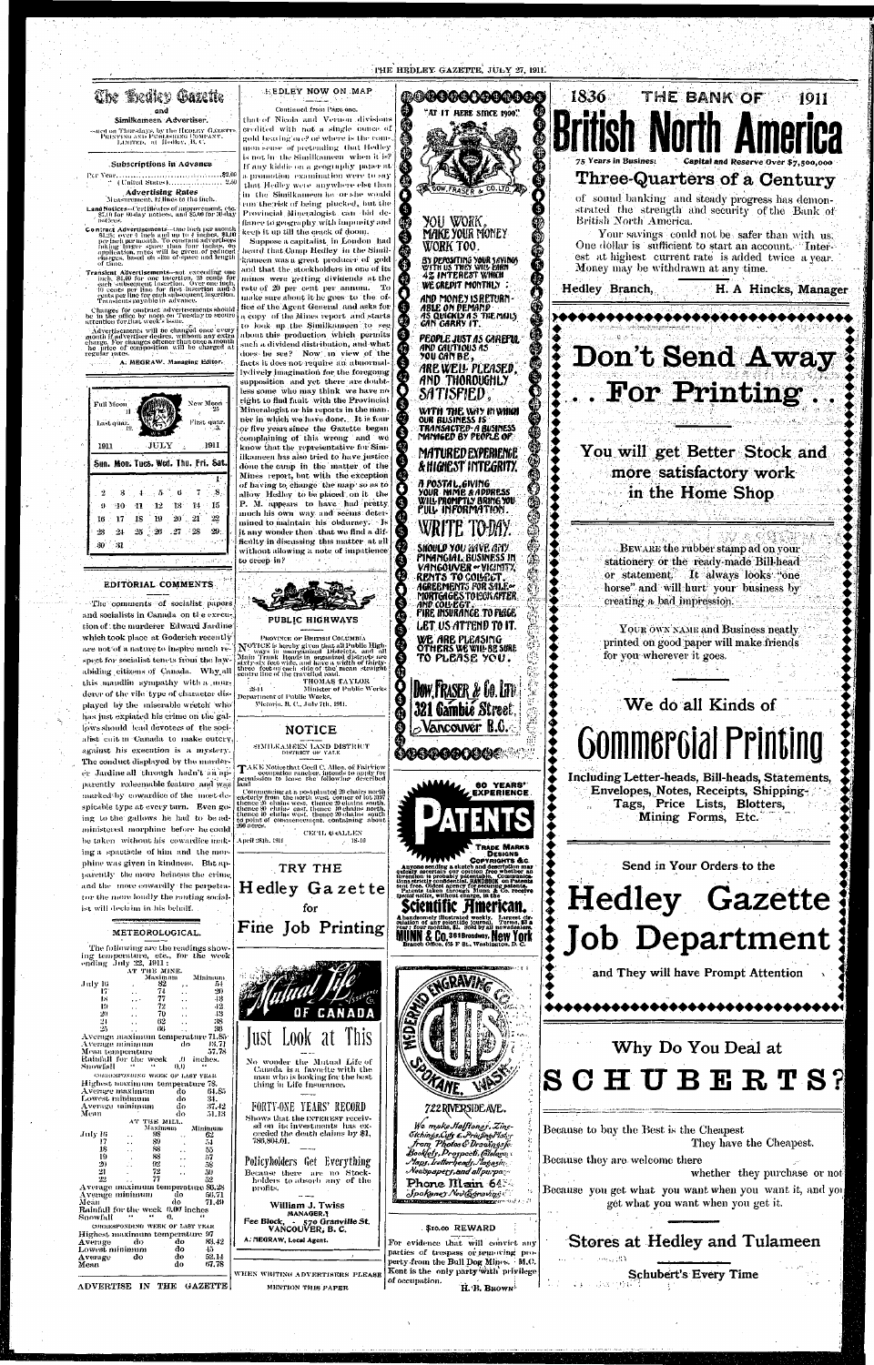

EDITORIAL COMMENTS

-31

30

"The comments of socialist papers and socialists in Canada on the execution of the murderer Edward Jardine which took place at Goderich recently are not of a nature to inspire much re-<br>spect is hereby given that all Public High-<br>spect for socialist tenets from the law-<br>all Public High-<br>and all Main Trunk Roads in organized districts, and all<br>all Public High-<br>abidin this mandlin sympathy with a murderer of the vile type of character dis- Department of Public Works. played by the miserable wretch who has just explated his crime on the gallows should lead devotees of the socialist cait in Canada to make outcry against his execution is a mystery. The conduct displayed by the murderer Jardine all through hadn't an apparently redeemable feature and was marked by cowardice of the most despicable type at every turn. Even going to the gallows he had to be administered morphine before he could be taken without his cowardice making a spactacle of him and the morphine was given in kindness. But apparently the more heinous the crime and the more cowardly the perpetrator the more loudly the ranting socialist will declaim in his behalf.

AT THE MINE.

July 16

17

Тs

-12

-20

21

Snowfall

July 16

17

18

-19

-20

21

Mean

Snowfall

Average

Average

Mean

Average minimum

Mean temperature

Average maximum

Lowest minimum

Average minimum<br>Mean

Average minimum

Lowest minimum

Rainfall for the week

 $-16$ 

Maximum

82  $7<sub>+</sub>$ 

-77

-72

70

-62  $(U)$ 

AT THE MILL.

98

-89

88

83

 $92$ 

 $72$ 

77

-do

do

Maximum

-do-

 $(1, 0)$ 

do

do

do

do

 $\ddot{\phantom{0}}$  .

-do-

do.

do

do

do

do

ficulty in discussing this matter at all without allowing a note of impatience to creep in?



THOMAS TAYLOR  $-28 - 11$ Minister of Public Works - Victoria, B. C., July 7th, 191

**NOTICE** 

SIMILKAMEEN LAND DISTRICT

DISTRICT OF YALE

April 281b, 1911



BY DEPOSITING YOUR SAVINGS 4% INTEREST WHICH WE CREDIT MONTHLY AND MONEY IS RETURN ABLE ON DEMAND

AS QUICKLY A S'THE MAILS<br>GAN GARRY IT. PEOPLE JUST AS GAREFUL<br>AND GAUTIOUS AS<br>YOU GAN BE ARE WELL PLEASED, AND THORDUGHLY

\$

SATISFIED WITH THE WAY INVIHIN

**OUR BUSINESS IS:** TRANSACTED-A BUSINESS<br>MANAGED BY PEOPLE OP

MATURED EXPERIENCE & HIGHEST INTEGRITY.

a postal,giving YOUR NAME & ADDRESS WILL PROMPTLY BRING YOU. FULL INFORMATION

**SHOULD YOU HAVE GETY** PINANGIAL BUSINESS IN VANGOUVER .VIGINITY, RENTS TO COLECT. AGREEMENTS FOR SALE<u>or</u> MORTGAGES TO LONGITER FIRE INSURANCE TO PLACE LET US ATTEND TO IT. WE ARE PLEASING **OTHERS WE WILL BE SURE TO PLEASE YOU.** 

⊕

1836 THE BANK OF 1911 Three-Quarters of a Century of sound banking and steady progress has demonstrated the strength and security of the Bank of British North America. Your savings could not be safer than with us. One dollar is sufficient to start an account. There est at highest current rate is added twice a year. Money may be withdrawn at any time. Hedley Branch, H. A Hincks, Manager \*\*\*\*\*\*\*\*\*\*\*\*\*\*\*\*\*\*\*\*\*\*\*\* Don't Send Away For Printing You will get Better Stock and more satisfactory work in the Home Shop BEWARE the rubber stamp ad on your stationery or the ready-made Bill-head or statement. It always looks "one horse" and will hurt your business by creating a bad impression.

> YOUR OWN NAME and Business neatly printed on good paper will make friends for you wherever it goes.







黄黄 化异磷酸钠

ADVERTISE IN THE GAZETTE